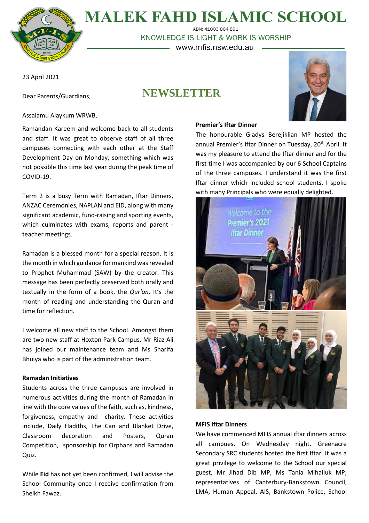

# **MALEK FAHD ISLAMIC SCHOOL** ABN: 41003 864 891

KNOWLEDGE IS LIGHT & WORK IS WORSHIP – www.mfis.nsw.edu.au –

23 April 2021

Dear Parents/Guardians,

# **NEWSLETTER**



Assalamu Alaykum WRWB,

Ramandan Kareem and welcome back to all students and staff. It was great to observe staff of all three campuses connecting with each other at the Staff Development Day on Monday, something which was not possible this time last year during the peak time of COVID-19.

Term 2 is a busy Term with Ramadan, Iftar Dinners, ANZAC Ceremonies, NAPLAN and EID, along with many significant academic, fund-raising and sporting events, which culminates with exams, reports and parent teacher meetings.

Ramadan is a blessed month for a special reason. It is the month in which guidance for mankind was revealed to Prophet Muhammad (SAW) by the creator. This message has been perfectly preserved both orally and textually in the form of a book, the *Qur'an*. It's the month of reading and understanding the Quran and time for reflection.

I welcome all new staff to the School. Amongst them are two new staff at Hoxton Park Campus. Mr Riaz Ali has joined our maintenance team and Ms Sharifa Bhuiya who is part of the administration team.

## **Ramadan Initiatives**

Students across the three campuses are involved in numerous activities during the month of Ramadan in line with the core values of the faith, such as, kindness, forgiveness, empathy and charity. These activities include, Daily Hadiths, The Can and Blanket Drive, Classroom decoration and Posters, Quran Competition, sponsorship for Orphans and Ramadan Quiz.

While **Eid** has not yet been confirmed, I will advise the School Community once I receive confirmation from Sheikh Fawaz.

## **Premier's Iftar Dinner**

The honourable Gladys Berejiklian MP hosted the annual Premier's Iftar Dinner on Tuesday, 20<sup>th</sup> April. It was my pleasure to attend the Iftar dinner and for the first time I was accompanied by our 6 School Captains of the three campuses. I understand it was the first Iftar dinner which included school students. I spoke with many Principals who were equally delighted.



## **MFIS Iftar Dinners**

We have commenced MFIS annual iftar dinners across all campues. On Wednesday night, Greenacre Secondary SRC students hosted the first Iftar. It was a great privilege to welcome to the School our special guest, Mr Jihad Dib MP, Ms Tania Mihailuk MP, representatives of Canterbury-Bankstown Council, LMA, Human Appeal, AIS, Bankstown Police, School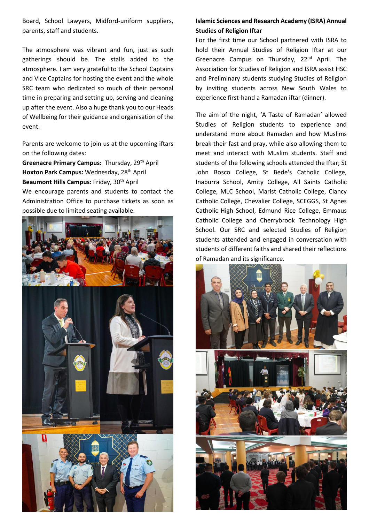Board, School Lawyers, Midford-uniform suppliers, parents, staff and students.

The atmosphere was vibrant and fun, just as such gatherings should be. The stalls added to the atmosphere. I am very grateful to the School Captains and Vice Captains for hosting the event and the whole SRC team who dedicated so much of their personal time in preparing and setting up, serving and cleaning up after the event. Also a huge thank you to our Heads of Wellbeing for their guidance and organisation of the event.

Parents are welcome to join us at the upcoming iftars on the following dates:

**Greenacre Primary Campus:** Thursday, 29th April **Hoxton Park Campus:** Wednesday, 28th April **Beaumont Hills Campus:** Friday, 30th April We encourage parents and students to contact the Administration Office to purchase tickets as soon as possible due to limited seating available.



# **Islamic Sciences and Research Academy (ISRA) Annual Studies of Religion Iftar**

For the first time our School partnered with ISRA to hold their Annual Studies of Religion Iftar at our Greenacre Campus on Thursday, 22<sup>nd</sup> April. The Association for Studies of Religion and ISRA assist HSC and Preliminary students studying Studies of Religion by inviting students across New South Wales to experience first-hand a Ramadan iftar (dinner).

The aim of the night, 'A Taste of Ramadan' allowed Studies of Religion students to experience and understand more about Ramadan and how Muslims break their fast and pray, while also allowing them to meet and interact with Muslim students. Staff and students of the following schools attended the Iftar; St John Bosco College, St Bede's Catholic College, Inaburra School, Amity College, All Saints Catholic College, MLC School, Marist Catholic College, Clancy Catholic College, Chevalier College, SCEGGS, St Agnes Catholic High School, Edmund Rice College, Emmaus Catholic College and Cherrybrook Technology High School. Our SRC and selected Studies of Religion students attended and engaged in conversation with students of different faiths and shared their reflections of Ramadan and its significance.

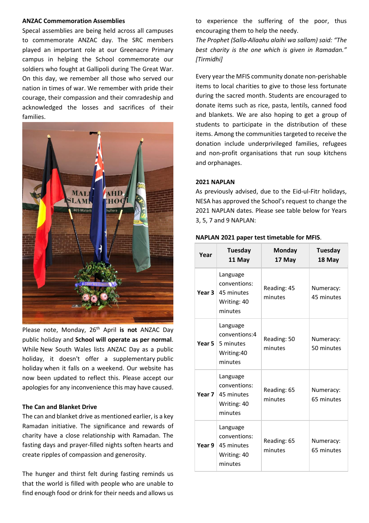### **ANZAC Commemoration Assemblies**

Specal assemblies are being held across all campuses to commemorate ANZAC day. The SRC members played an important role at our Greenacre Primary campus in helping the School commemorate our soldiers who fought at Gallipoli during The Great War. On this day, we remember all those who served our nation in times of war. We remember with pride their courage, their compassion and their comradeship and acknowledged the losses and sacrifices of their families.



Please note, Monday, 26th April **is not** ANZAC Day public holiday and **School will operate as per normal**. While New South Wales lists ANZAC Day as a public holiday, it doesn't offer a supplementary public holiday when it falls on a weekend. Our website has now been updated to reflect this. Please accept our apologies for any inconvenience this may have caused.

## **The Can and Blanket Drive**

The can and blanket drive as mentioned earlier, is a key Ramadan initiative. The significance and rewards of charity have a close relationship with Ramadan. The fasting days and prayer-filled nights soften hearts and create ripples of compassion and generosity.

The hunger and thirst felt during fasting reminds us that the world is filled with people who are unable to find enough food or drink for their needs and allows us

to experience the suffering of the poor, thus encouraging them to help the needy.

*The Prophet (Salla-Allaahu alaihi wa sallam) said: "The best charity is the one which is given in Ramadan." [Tirmidhi]*

Every year the MFIS community donate non-perishable items to local charities to give to those less fortunate during the sacred month. Students are encouraged to donate items such as rice, pasta, lentils, canned food and blankets. We are also hoping to get a group of students to participate in the distribution of these items. Among the communities targeted to receive the donation include underprivileged families, refugees and non-profit organisations that run soup kitchens and orphanages.

## **2021 NAPLAN**

As previously advised, due to the Eid-ul-Fitr holidays, NESA has approved the School's request to change the 2021 NAPLAN dates. Please see table below for Years 3, 5, 7 and 9 NAPLAN:

| Year   | <b>Tuesday</b><br>11 May                                         | Monday<br>17 May       | <b>Tuesday</b><br>18 May |
|--------|------------------------------------------------------------------|------------------------|--------------------------|
| Year 3 | Language<br>conventions:<br>45 minutes<br>Writing: 40<br>minutes | Reading: 45<br>minutes | Numeracy:<br>45 minutes  |
| Year 5 | Language<br>conventions:4<br>5 minutes<br>Writing:40<br>minutes  | Reading: 50<br>minutes | Numeracy:<br>50 minutes  |
| Year 7 | Language<br>conventions:<br>45 minutes<br>Writing: 40<br>minutes | Reading: 65<br>minutes | Numeracy:<br>65 minutes  |
| Year 9 | Language<br>conventions:<br>45 minutes<br>Writing: 40<br>minutes | Reading: 65<br>minutes | Numeracy:<br>65 minutes  |

#### **NAPLAN 2021 paper test timetable for MFIS**.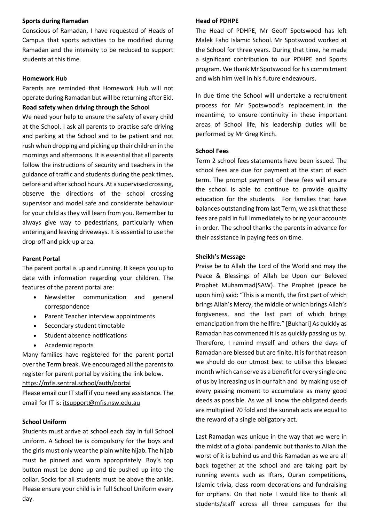## **Sports during Ramadan**

Conscious of Ramadan, I have requested of Heads of Campus that sports activities to be modified during Ramadan and the intensity to be reduced to support students at this time.

## **Homework Hub**

Parents are reminded that Homework Hub will not operate during Ramadan but will be returning after Eid. **Road safety when driving through the School**

We need your help to ensure the safety of every child at the School. I ask all parents to practise safe driving and parking at the School and to be patient and not rush when dropping and picking up their children in the mornings and afternoons. It is essential that all parents follow the instructions of security and teachers in the guidance of traffic and students during the peak times, before and after school hours. At a supervised crossing, observe the directions of the school crossing supervisor and model safe and considerate behaviour for your child asthey will learn from you. Remember to always give way to pedestrians, particularly when entering and leaving driveways. It is essential to use the drop-off and pick-up area.

## **Parent Portal**

The parent portal is up and running. It keeps you up to date with information regarding your children. The features of the parent portal are:

- Newsletter communication and general correspondence
- Parent Teacher interview appointments
- Secondary student timetable
- Student absence notifications
- Academic reports

Many families have registered for the parent portal over the Term break. We encouraged all the parents to register for parent portal by visiting the link below. <https://mfis.sentral.school/auth/portal>

Please email our IT staff if you need any assistance. The email for IT is: [itsupport@mfis.nsw.edu.au](mailto:itsupport@mfis.nsw.edu.au)

## **School Uniform**

Students must arrive at school each day in full School uniform. A School tie is compulsory for the boys and the girls must only wear the plain white hijab. The hijab must be pinned and worn appropriately. Boy's top button must be done up and tie pushed up into the collar. Socks for all students must be above the ankle. Please ensure your child is in full School Uniform every day.

### **Head of PDHPE**

The Head of PDHPE, Mr Geoff Spotswood has left Malek Fahd Islamic School. Mr Spotswood worked at the School for three years. During that time, he made a significant contribution to our PDHPE and Sports program. We thank Mr Spotswood for his commitment and wish him well in his future endeavours.

In due time the School will undertake a recruitment process for Mr Spotswood's replacement. In the meantime, to ensure continuity in these important areas of School life, his leadership duties will be performed by Mr Greg Kinch.

#### **School Fees**

Term 2 school fees statements have been issued. The school fees are due for payment at the start of each term. The prompt payment of these fees will ensure the school is able to continue to provide quality education for the students. For families that have balances outstanding from last Term, we ask that these fees are paid in full immediately to bring your accounts in order. The school thanks the parents in advance for their assistance in paying fees on time.

### **Sheikh's Message**

Praise be to Allah the Lord of the World and may the Peace & Blessings of Allah be Upon our Beloved Prophet Muhammad(SAW). The Prophet (peace be upon him) said: "This is a month, the first part of which brings Allah's Mercy, the middle of which brings Allah's forgiveness, and the last part of which brings emancipation from the hellfire." [Bukhari] As quickly as Ramadan has commenced it is as quickly passing us by. Therefore, I remind myself and others the days of Ramadan are blessed but are finite. It is for that reason we should do our utmost best to utilise this blessed month which can serve as a benefit for every single one of us by increasing us in our faith and by making use of every passing moment to accumulate as many good deeds as possible. As we all know the obligated deeds are multiplied 70 fold and the sunnah acts are equal to the reward of a single obligatory act.

Last Ramadan was unique in the way that we were in the midst of a global pandemic but thanks to Allah the worst of it is behind us and this Ramadan as we are all back together at the school and are taking part by running events such as Iftars, Quran competitions, Islamic trivia, class room decorations and fundraising for orphans. On that note I would like to thank all students/staff across all three campuses for the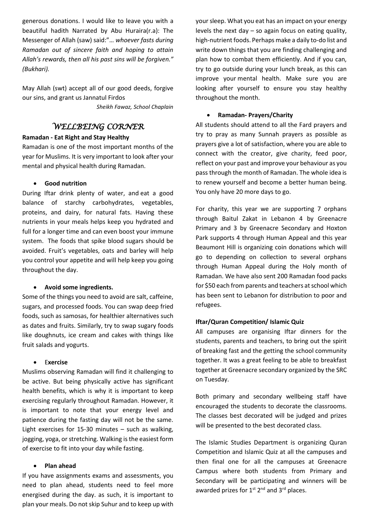generous donations. I would like to leave you with a beautiful hadith Narrated by Abu Huraira(r.a): The Messenger of Allah (saw) said:"… *whoever fasts during Ramadan out of sincere faith and hoping to attain Allah's rewards, then all his past sins will be forgiven." (Bukhari).* 

May Allah (swt) accept all of our good deeds, forgive our sins, and grant us Jannatul Firdos *Sheikh Fawaz, School Chaplain*

# *WELLBEING CORNER*

## **Ramadan - Eat Right and Stay Healthy**

Ramadan is one of the most important months of the year for Muslims. It is very important to look after your mental and physical health during Ramadan.

# • **Good nutrition**

During Iftar drink plenty of water, and eat a good balance of starchy carbohydrates, vegetables, proteins, and dairy, for natural fats. Having these nutrients in your meals helps keep you hydrated and full for a longer time and can even boost your immune system. The foods that spike blood sugars should be avoided. Fruit's vegetables, oats and barley will help you control your appetite and will help keep you going throughout the day.

## • **Avoid some ingredients.**

Some of the things you need to avoid are salt, caffeine, sugars, and processed foods. You can swap deep fried foods, such as samosas, for healthier alternatives such as dates and fruits. Similarly, try to swap sugary foods like doughnuts, ice cream and cakes with things like fruit salads and yogurts.

# • E**xercise**

Muslims observing Ramadan will find it challenging to be active. But being physically active has significant health benefits, which is why it is important to keep exercising regularly throughout Ramadan. However, it is important to note that your energy level and patience during the fasting day will not be the same. Light exercises for 15-30 minutes – such as walking, jogging, yoga, or stretching. Walking is the easiest form of exercise to fit into your day while fasting.

# • **Plan ahead**

If you have assignments exams and assessments, you need to plan ahead, students need to feel more energised during the day. as such, it is important to plan your meals. Do not skip Suhur and to keep up with your sleep. What you eat has an impact on your energy levels the next day – so again focus on eating quality, high-nutrient foods. Perhaps make a daily to-do list and write down things that you are finding challenging and plan how to combat them efficiently. And if you can, try to go outside during your lunch break, as this can improve your mental health. Make sure you are looking after yourself to ensure you stay healthy throughout the month.

# • **Ramadan- Prayers/Charity**

All students should attend to all the Fard prayers and try to pray as many Sunnah prayers as possible as prayers give a lot of satisfaction, where you are able to connect with the creator, give charity, feed poor, reflect on your past and improve your behaviour as you passthrough the month of Ramadan. The whole idea is to renew yourself and become a better human being. You only have 20 more days to go.

For charity, this year we are supporting 7 orphans through Baitul Zakat in Lebanon 4 by Greenacre Primary and 3 by Greenacre Secondary and Hoxton Park supports 4 through Human Appeal and this year Beaumont Hill is organizing coin donations which will go to depending on collection to several orphans through Human Appeal during the Holy month of Ramadan. We have also sent 200 Ramadan food packs for \$50 each from parents and teachers at school which has been sent to Lebanon for distribution to poor and refugees.

# **Iftar/Quran Competition/ Islamic Quiz**

All campuses are organising Iftar dinners for the students, parents and teachers, to bring out the spirit of breaking fast and the getting the school community together. It was a great feeling to be able to breakfast together at Greenacre secondary organized by the SRC on Tuesday.

Both primary and secondary wellbeing staff have encouraged the students to decorate the classrooms. The classes best decorated will be judged and prizes will be presented to the best decorated class.

The Islamic Studies Department is organizing Quran Competition and Islamic Quiz at all the campuses and then final one for all the campuses at Greenacre Campus where both students from Primary and Secondary will be participating and winners will be awarded prizes for  $1^{st}$   $2^{nd}$  and  $3^{rd}$  places.